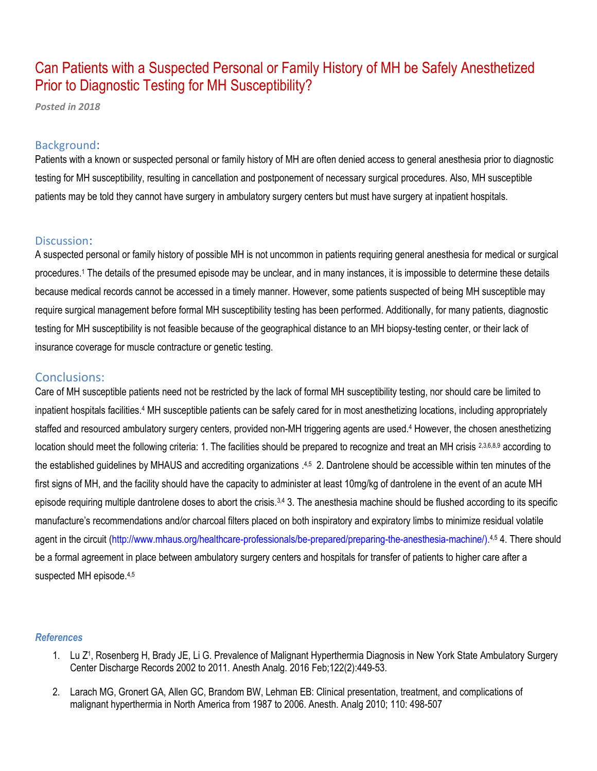# Can Patients with a Suspected Personal or Family History of MH be Safely Anesthetized Prior to Diagnostic Testing for MH Susceptibility?

*Posted in 2018*

#### Background:

Patients with a known or suspected personal or family history of MH are often denied access to general anesthesia prior to diagnostic testing for MH susceptibility, resulting in cancellation and postponement of necessary surgical procedures. Also, MH susceptible patients may be told they cannot have surgery in ambulatory surgery centers but must have surgery at inpatient hospitals.

### Discussion:

A suspected personal or family history of possible MH is not uncommon in patients requiring general anesthesia for medical or surgical procedures.<sup>1</sup> The details of the presumed episode may be unclear, and in many instances, it is impossible to determine these details because medical records cannot be accessed in a timely manner. However, some patients suspected of being MH susceptible may require surgical management before formal MH susceptibility testing has been performed. Additionally, for many patients, diagnostic testing for MH susceptibility is not feasible because of the geographical distance to an MH biopsy-testing center, or their lack of insurance coverage for muscle contracture or genetic testing.

## Conclusions:

Care of MH susceptible patients need not be restricted by the lack of formal MH susceptibility testing, nor should care be limited to inpatient hospitals facilities.<sup>4</sup> MH susceptible patients can be safely cared for in most anesthetizing locations, including appropriately staffed and resourced ambulatory surgery centers, provided non-MH triggering agents are used.<sup>4</sup> However, the chosen anesthetizing location should meet the following criteria: 1. The facilities should be prepared to recognize and treat an MH crisis 2,3,6,8,9 according to the established guidelines by MHAUS and accrediting organizations .<sup>4,5</sup> 2. Dantrolene should be accessible within ten minutes of the first signs of MH, and the facility should have the capacity to administer at least 10mg/kg of dantrolene in the event of an acute MH episode requiring multiple dantrolene doses to abort the crisis.<sup>3,4</sup> 3. The anesthesia machine should be flushed according to its specific manufacture's recommendations and/or charcoal filters placed on both inspiratory and expiratory limbs to minimize residual volatile agent in the circuit (http://www.mhaus.org/healthcare-professionals/be-prepared/preparing-the-anesthesia-machine/).<sup>4,5</sup> 4. There should be a formal agreement in place between ambulatory surgery centers and hospitals for transfer of patients to higher care after a suspected MH episode.<sup>4,5</sup>

#### *References*

- 1. [Lu Z](https://www.ncbi.nlm.nih.gov/pubmed/?term=Lu%20Z%5BAuthor%5D&cauthor=true&cauthor_uid=26554462)<sup>1</sup>, Rosenberg H, Brady JE, [Li G.](https://www.ncbi.nlm.nih.gov/pubmed/?term=Li%20G%5BAuthor%5D&cauthor=true&cauthor_uid=26554462) Prevalence of Malignant Hyperthermia Diagnosis in New York State Ambulatory Surgery Center Discharge Records 2002 to 2011. [Anesth Analg.](https://www.ncbi.nlm.nih.gov/pubmed/26554462) 2016 Feb;122(2):449-53.
- 2. Larach MG, Gronert GA, Allen GC, Brandom BW, Lehman EB: Clinical presentation, treatment, and complications of malignant hyperthermia in North America from 1987 to 2006. Anesth. Analg 2010; 110: 498-507